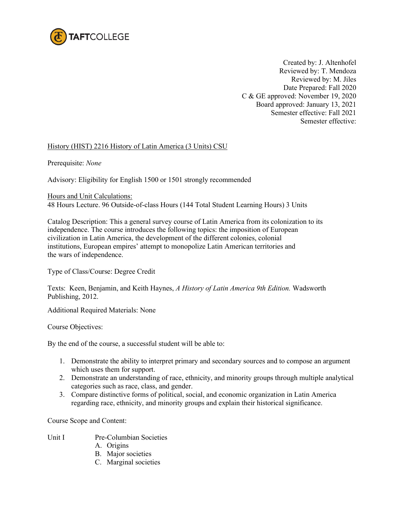

Created by: J. Altenhofel Reviewed by: T. Mendoza Reviewed by: M. Jiles Date Prepared: Fall 2020 C & GE approved: November 19, 2020 Board approved: January 13, 2021 Semester effective: Fall 2021 Semester effective:

## History (HIST) 2216 History of Latin America (3 Units) CSU

Prerequisite: *None*

Advisory: Eligibility for English 1500 or 1501 strongly recommended

Hours and Unit Calculations:

48 Hours Lecture. 96 Outside-of-class Hours (144 Total Student Learning Hours) 3 Units

Catalog Description: This a general survey course of Latin America from its colonization to its independence. The course introduces the following topics: the imposition of European civilization in Latin America, the development of the different colonies, colonial institutions, European empires' attempt to monopolize Latin American territories and the wars of independence.

Type of Class/Course: Degree Credit

Texts: Keen, Benjamin, and Keith Haynes, *A History of Latin America 9th Edition.* Wadsworth Publishing, 2012.

Additional Required Materials: None

Course Objectives:

By the end of the course, a successful student will be able to:

- 1. Demonstrate the ability to interpret primary and secondary sources and to compose an argument which uses them for support.
- 2. Demonstrate an understanding of race, ethnicity, and minority groups through multiple analytical categories such as race, class, and gender.
- 3. Compare distinctive forms of political, social, and economic organization in Latin America regarding race, ethnicity, and minority groups and explain their historical significance.

Course Scope and Content:

- Unit I Pre-Columbian Societies
	- A. Origins
	- B. Major societies
	- C. Marginal societies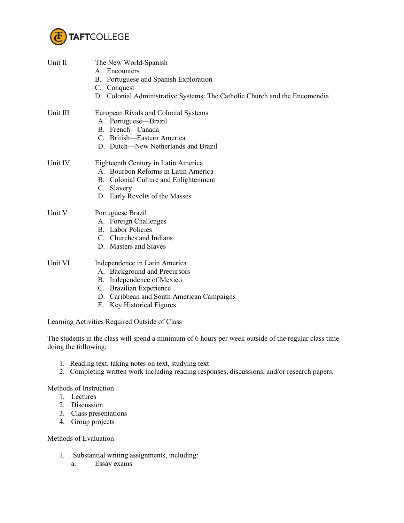

| Unit II              | The New World-Spanish<br>A. Encounters<br>B. Portuguese and Spanish Exploration<br>C. Conquest<br>D. Colonial Administrative Systems: The Catholic Church and the Encomendia                    |
|----------------------|-------------------------------------------------------------------------------------------------------------------------------------------------------------------------------------------------|
| Unit III             | European Rivals and Colonial Systems<br>A. Portuguese-Brazil<br>B. French-Canada<br>C. British-Eastern America<br>D. Dutch-New Netherlands and Brazil                                           |
| Unit IV              | Eighteenth Century in Latin America<br>A. Bourbon Reforms in Latin America<br>B. Colonial Culture and Enlightenment<br>C. Slavery<br>D. Early Revolts of the Masses                             |
| Unit V               | Portuguese Brazil<br>A. Foreign Challenges<br><b>B.</b> Labor Policies<br>C. Churches and Indians<br>D. Masters and Slaves                                                                      |
| Unit VI              | Independence in Latin America<br>A. Background and Precursors<br>B. Independence of Mexico<br>C. Brazilian Experience<br>D. Caribbean and South American Campaigns<br>E. Key Historical Figures |
|                      | Learning Activities Required Outside of Class                                                                                                                                                   |
| doing the following: | The students in the class will spend a minimum of 6 hours per week outside of the regular class time                                                                                            |

- 1. Reading text, taking notes on text, studying text
- 2. Completing written work including reading responses, discussions, and/or research papers.

Methods of Instruction

- 1. Lectures
- 2. Discussion
- 3. Class presentations
- 4. Group projects

Methods of Evaluation

- 1. Substantial writing assignments, including:
	- a. Essay exams